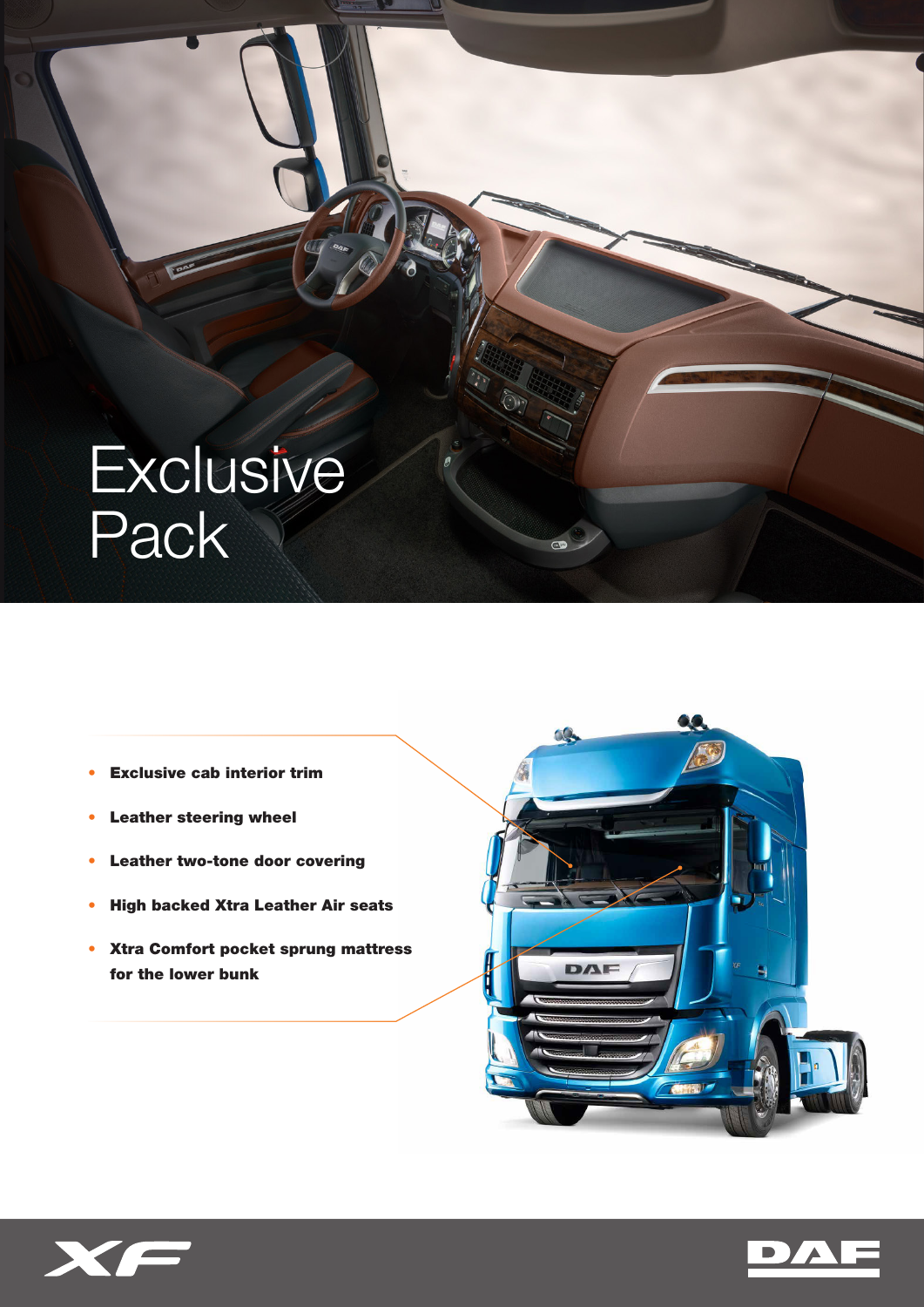# **Exclusive** Pack

- Exclusive cab interior trim
- Leather steering wheel
- Leather two-tone door covering
- High backed Xtra Leather Air seats
- Xtra Comfort pocket sprung mattress for the lower bunk